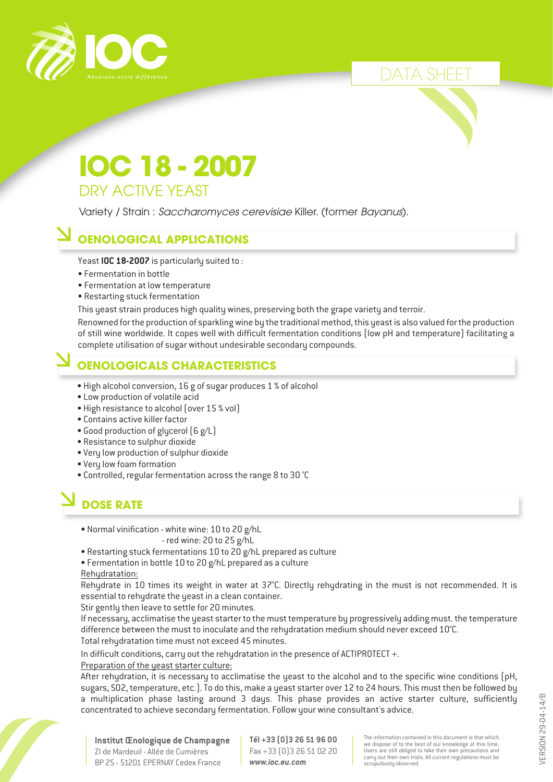

# DATA SHEET

# **IOC 18 - 2007** DRY ACTIVE YEAST

Variety / Strain : *Saccharomyces cerevisiae* Killer. (former *Bayanus*).

### **OENOLOGICAL APPLICATIONS**

Yeast **IOC 18-2007** is particularly suited to :

- Fermentation in bottle
- Fermentation at low temperature
- Restarting stuck fermentation

This yeast strain produces high quality wines, preserving both the grape variety and terroir.

Renowned for the production of sparkling wine by the traditional method, this yeast is also valued for the production of still wine worldwide. It copes well with difficult fermentation conditions (low pH and temperature) facilitating a complete utilisation of sugar without undesirable secondary compounds.

#### **OENOLOGICALS CHARACTERISTICS**

- High alcohol conversion, 16 g of sugar produces 1 % of alcohol
- Low production of volatile acid
- High resistance to alcohol (over 15 % vol)
- Contains active killer factor
- Good production of glycerol (6 g/L)
- Resistance to sulphur dioxide
- Very low production of sulphur dioxide
- Very low foam formation
- Controlled, regular fermentation across the range 8 to 30 °C

# **DOSE RATE**

• Normal vinification - white wine: 10 to 20 g/hL

- red wine: 20 to 25 g/hL

• Restarting stuck fermentations 10 to 20 g/hL prepared as culture

• Fermentation in bottle 10 to 20 g/hL prepared as a culture

Rehydratation:

Rehydrate in 10 times its weight in water at 37°C. Directly rehydrating in the must is not recommended. It is essential to rehydrate the yeast in a clean container.

Stir gently then leave to settle for 20 minutes.

If necessary, acclimatise the yeast starter to the must temperature by progressively adding must. the temperature difference between the must to inoculate and the rehydratation medium should never exceed 10°C. Total rehydratation time must not exceed 45 minutes.

In difficult conditions, carry out the rehydratation in the presence of ACTIPROTECT +.

#### Preparation of the yeast starter culture:

After rehydration, it is necessary to acclimatise the yeast to the alcohol and to the specific wine conditions (pH, sugars, SO2, temperature, etc.). To do this, make a yeast starter over 12 to 24 hours. This must then be followed by a multiplication phase lasting around 3 days. This phase provides an active starter culture, sufficiently concentrated to achieve secondary fermentation. Follow your wine consultant's advice.



**Institut Œnologique de Champagne** ZI de Mardeuil - Allée de Cumières BP 25 - 51201 EPERNAY Cedex France

**Tél +33 (0)3 26 51 96 00** Fax +33 (0)3 26 51 02 20 *www.ioc.eu.com*

The information contained in this document is that which we dispose of to the best of our knowledge at this time. Users are still obliged to take their own precautions and carry out their own trials. All current regulations must be scrupulously observed.